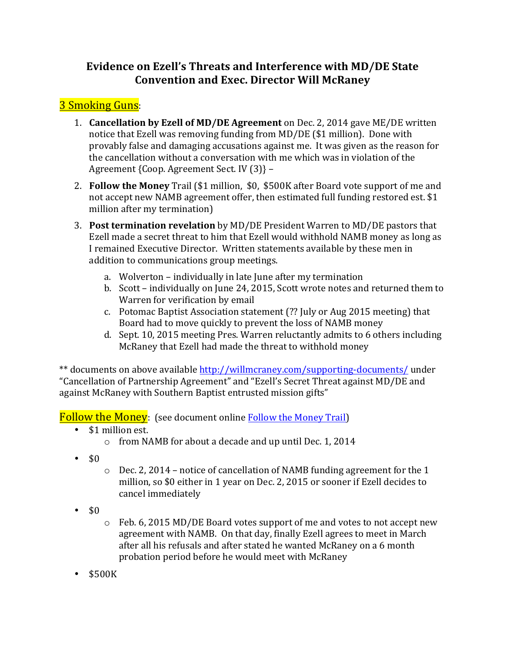## **Evidence on Ezell's Threats and Interference with MD/DE State Convention and Exec. Director Will McRaney**

## **3** Smoking Guns:

- 1. **Cancellation by Ezell of MD/DE Agreement** on Dec. 2, 2014 gave ME/DE written notice that Ezell was removing funding from MD/DE (\$1 million). Done with provably false and damaging accusations against me. It was given as the reason for the cancellation without a conversation with me which was in violation of the Agreement {Coop. Agreement Sect. IV (3)} -
- 2. **Follow the Money** Trail (\$1 million, \$0, \$500K after Board vote support of me and not accept new NAMB agreement offer, then estimated full funding restored est. \$1 million after my termination)
- 3. **Post termination revelation** by MD/DE President Warren to MD/DE pastors that Ezell made a secret threat to him that Ezell would withhold NAMB money as long as I remained Executive Director. Written statements available by these men in addition to communications group meetings.
	- a. Wolverton individually in late June after my termination
	- b. Scott individually on June 24, 2015, Scott wrote notes and returned them to Warren for verification by email
	- c. Potomac Baptist Association statement (?? July or Aug 2015 meeting) that Board had to move quickly to prevent the loss of NAMB money
	- d. Sept. 10, 2015 meeting Pres. Warren reluctantly admits to 6 others including McRaney that Ezell had made the threat to withhold money

\*\* documents on above available http://willmcraney.com/supporting-documents/ under "Cancellation of Partnership Agreement" and "Ezell's Secret Threat against MD/DE and against McRaney with Southern Baptist entrusted mission gifts"

**Follow the Money:** (see document online Follow the Money Trail)

- \$1 million est.
	- $\circ$  from NAMB for about a decade and up until Dec. 1, 2014
- $\cdot$  \$0
- $\circ$  Dec. 2, 2014 notice of cancellation of NAMB funding agreement for the 1 million, so \$0 either in 1 year on Dec. 2, 2015 or sooner if Ezell decides to cancel immediately
- $\cdot$  \$0
- $\circ$  Feb. 6, 2015 MD/DE Board votes support of me and votes to not accept new agreement with NAMB. On that day, finally Ezell agrees to meet in March after all his refusals and after stated he wanted McRaney on a 6 month probation period before he would meet with McRaney
- \$500K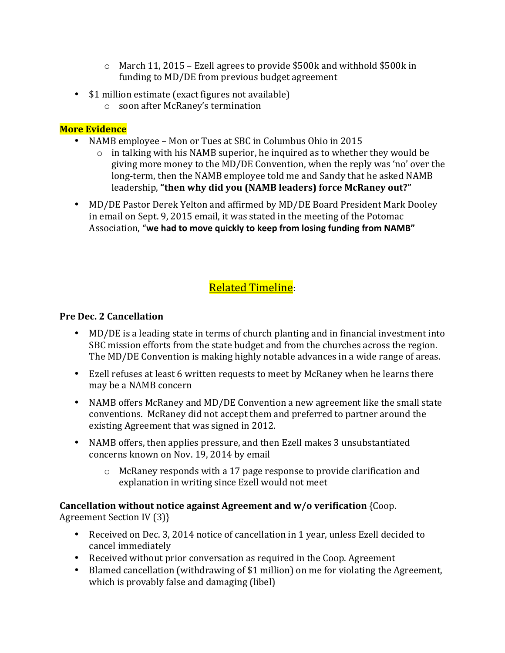- $\circ$  March 11, 2015 Ezell agrees to provide \$500k and withhold \$500k in funding to MD/DE from previous budget agreement
- \$1 million estimate (exact figures not available)
	- o soon after McRaney's termination

### **More Evidence**

- NAMB employee Mon or Tues at SBC in Columbus Ohio in 2015
	- $\circ$  in talking with his NAMB superior, he inquired as to whether they would be giving more money to the MD/DE Convention, when the reply was 'no' over the long-term, then the NAMB employee told me and Sandy that he asked NAMB leadership, "then why did you (NAMB leaders) force McRaney out?"
- MD/DE Pastor Derek Yelton and affirmed by MD/DE Board President Mark Dooley in email on Sept. 9, 2015 email, it was stated in the meeting of the Potomac Association, "we had to move quickly to keep from losing funding from NAMB"

# **Related Timeline:**

#### **Pre Dec. 2 Cancellation**

- MD/DE is a leading state in terms of church planting and in financial investment into SBC mission efforts from the state budget and from the churches across the region. The MD/DE Convention is making highly notable advances in a wide range of areas.
- Ezell refuses at least 6 written requests to meet by McRaney when he learns there may be a NAMB concern
- NAMB offers McRaney and MD/DE Convention a new agreement like the small state conventions. McRaney did not accept them and preferred to partner around the existing Agreement that was signed in 2012.
- NAMB offers, then applies pressure, and then Ezell makes 3 unsubstantiated concerns known on Nov. 19, 2014 by email
	- $\circ$  McRaney responds with a 17 page response to provide clarification and explanation in writing since Ezell would not meet

**Cancellation without notice against Agreement and w/o verification** {Coop.

Agreement Section IV (3) }

- Received on Dec. 3, 2014 notice of cancellation in 1 year, unless Ezell decided to cancel immediately
- Received without prior conversation as required in the Coop. Agreement
- Blamed cancellation (withdrawing of \$1 million) on me for violating the Agreement, which is provably false and damaging (libel)